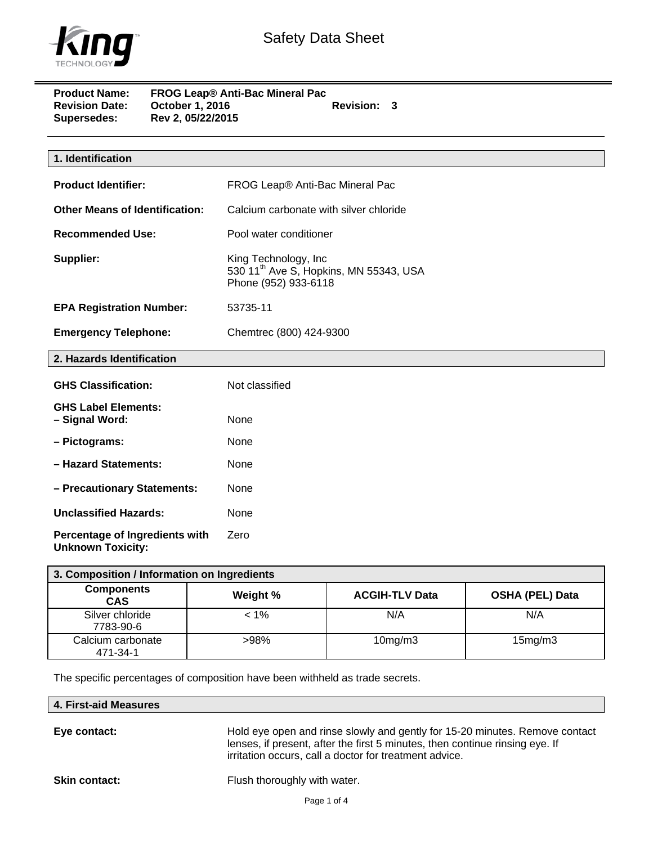

| <b>Product Name:</b>  | <b>FROG Leap® Anti-Bac Mineral Pac</b> |             |  |
|-----------------------|----------------------------------------|-------------|--|
| <b>Revision Date:</b> | October 1, 2016                        | Revision: 3 |  |
| <b>Supersedes:</b>    | Rev 2, 05/22/2015                      |             |  |

| 1. Identification                                          |                                                                                                    |
|------------------------------------------------------------|----------------------------------------------------------------------------------------------------|
| <b>Product Identifier:</b>                                 | FROG Leap® Anti-Bac Mineral Pac                                                                    |
| <b>Other Means of Identification:</b>                      | Calcium carbonate with silver chloride                                                             |
| <b>Recommended Use:</b>                                    | Pool water conditioner                                                                             |
| Supplier:                                                  | King Technology, Inc<br>530 11 <sup>th</sup> Ave S, Hopkins, MN 55343, USA<br>Phone (952) 933-6118 |
| <b>EPA Registration Number:</b>                            | 53735-11                                                                                           |
| <b>Emergency Telephone:</b>                                | Chemtrec (800) 424-9300                                                                            |
| 2. Hazards Identification                                  |                                                                                                    |
| <b>GHS Classification:</b>                                 | Not classified                                                                                     |
| <b>GHS Label Elements:</b><br>- Signal Word:               | None                                                                                               |
| - Pictograms:                                              | None                                                                                               |
| - Hazard Statements:                                       | None                                                                                               |
| - Precautionary Statements:                                | None                                                                                               |
| <b>Unclassified Hazards:</b>                               | None                                                                                               |
| Percentage of Ingredients with<br><b>Unknown Toxicity:</b> | Zero                                                                                               |

| 3. Composition / Information on Ingredients |          |                       |                        |  |
|---------------------------------------------|----------|-----------------------|------------------------|--|
| <b>Components</b><br><b>CAS</b>             | Weight % | <b>ACGIH-TLV Data</b> | <b>OSHA (PEL) Data</b> |  |
| Silver chloride<br>7783-90-6                | $< 1\%$  | N/A                   | N/A                    |  |
| Calcium carbonate<br>471-34-1               | >98%     | $10$ mg/m $3$         | 15mg/m3                |  |

The specific percentages of composition have been withheld as trade secrets.

**Eye contact:** Hold eye open and rinse slowly and gently for 15-20 minutes. Remove contact lenses, if present, after the first 5 minutes, then continue rinsing eye. If irritation occurs, call a doctor for treatment advice.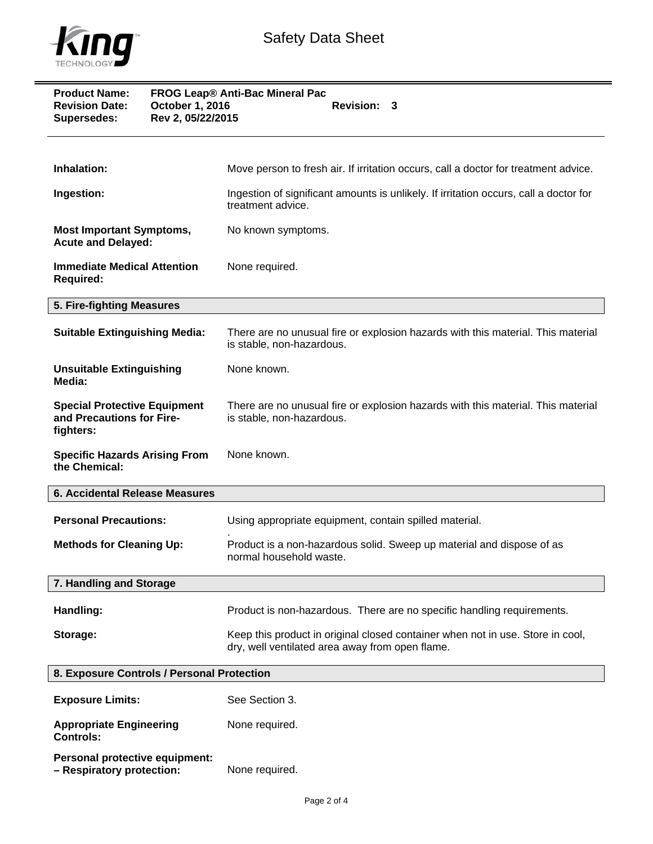

| <b>Product Name:</b><br><b>Revision Date:</b><br><b>Supersedes:</b>           | FROG Leap® Anti-Bac Mineral Pac<br>October 1, 2016<br>Revision: 3<br>Rev 2, 05/22/2015                                            |  |
|-------------------------------------------------------------------------------|-----------------------------------------------------------------------------------------------------------------------------------|--|
| Inhalation:                                                                   | Move person to fresh air. If irritation occurs, call a doctor for treatment advice.                                               |  |
| Ingestion:                                                                    | Ingestion of significant amounts is unlikely. If irritation occurs, call a doctor for<br>treatment advice.                        |  |
| <b>Most Important Symptoms,</b><br><b>Acute and Delayed:</b>                  | No known symptoms.                                                                                                                |  |
| <b>Immediate Medical Attention</b><br><b>Required:</b>                        | None required.                                                                                                                    |  |
| 5. Fire-fighting Measures                                                     |                                                                                                                                   |  |
| <b>Suitable Extinguishing Media:</b>                                          | There are no unusual fire or explosion hazards with this material. This material<br>is stable, non-hazardous.                     |  |
| <b>Unsuitable Extinguishing</b><br>Media:                                     | None known.                                                                                                                       |  |
| <b>Special Protective Equipment</b><br>and Precautions for Fire-<br>fighters: | There are no unusual fire or explosion hazards with this material. This material<br>is stable, non-hazardous.                     |  |
| <b>Specific Hazards Arising From</b><br>the Chemical:                         | None known.                                                                                                                       |  |
| 6. Accidental Release Measures                                                |                                                                                                                                   |  |
| <b>Personal Precautions:</b>                                                  | Using appropriate equipment, contain spilled material.                                                                            |  |
| <b>Methods for Cleaning Up:</b>                                               | Product is a non-hazardous solid. Sweep up material and dispose of as<br>normal household waste.                                  |  |
| 7. Handling and Storage                                                       |                                                                                                                                   |  |
| Handling:                                                                     | Product is non-hazardous. There are no specific handling requirements.                                                            |  |
| Storage:                                                                      | Keep this product in original closed container when not in use. Store in cool,<br>dry, well ventilated area away from open flame. |  |
| 8. Exposure Controls / Personal Protection                                    |                                                                                                                                   |  |
| <b>Exposure Limits:</b>                                                       | See Section 3.                                                                                                                    |  |
| <b>Appropriate Engineering</b><br><b>Controls:</b>                            | None required.                                                                                                                    |  |

**Personal protective equipment: – Respiratory protection:** None required.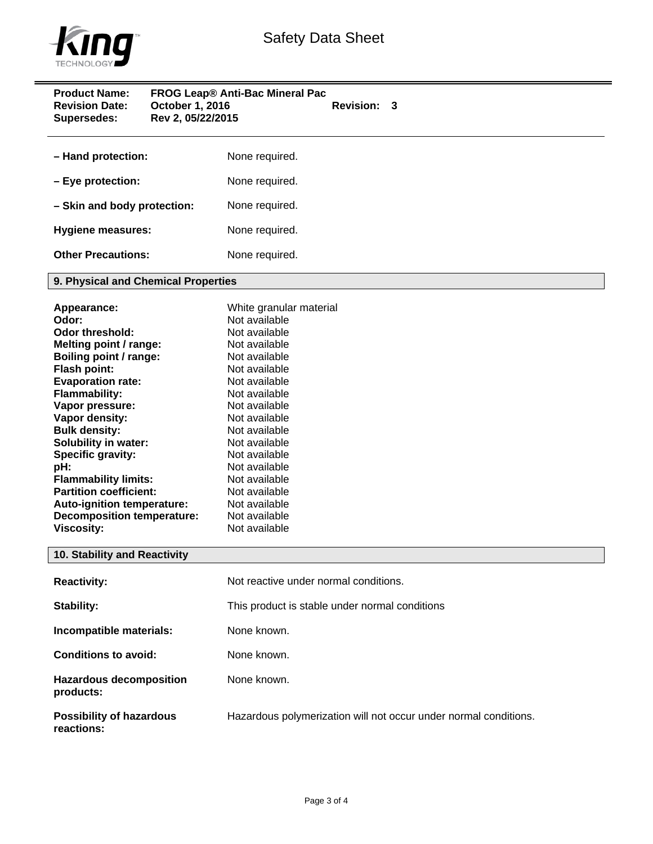

| <b>Product Name:</b><br><b>Revision Date:</b><br>October 1, 2016<br>Rev 2, 05/22/2015<br><b>Supersedes:</b>                                                                                                                                                                                                                                                                                                                                                   | FROG Leap® Anti-Bac Mineral Pac<br><b>Revision: 3</b>                                                                                                                                                                                                                                                                                     |
|---------------------------------------------------------------------------------------------------------------------------------------------------------------------------------------------------------------------------------------------------------------------------------------------------------------------------------------------------------------------------------------------------------------------------------------------------------------|-------------------------------------------------------------------------------------------------------------------------------------------------------------------------------------------------------------------------------------------------------------------------------------------------------------------------------------------|
| - Hand protection:                                                                                                                                                                                                                                                                                                                                                                                                                                            | None required.                                                                                                                                                                                                                                                                                                                            |
| - Eye protection:                                                                                                                                                                                                                                                                                                                                                                                                                                             | None required.                                                                                                                                                                                                                                                                                                                            |
| - Skin and body protection:                                                                                                                                                                                                                                                                                                                                                                                                                                   | None required.                                                                                                                                                                                                                                                                                                                            |
| <b>Hygiene measures:</b>                                                                                                                                                                                                                                                                                                                                                                                                                                      | None required.                                                                                                                                                                                                                                                                                                                            |
| <b>Other Precautions:</b>                                                                                                                                                                                                                                                                                                                                                                                                                                     | None required.                                                                                                                                                                                                                                                                                                                            |
| 9. Physical and Chemical Properties                                                                                                                                                                                                                                                                                                                                                                                                                           |                                                                                                                                                                                                                                                                                                                                           |
| Appearance:<br>Odor:<br><b>Odor threshold:</b><br>Melting point / range:<br>Boiling point / range:<br><b>Flash point:</b><br><b>Evaporation rate:</b><br><b>Flammability:</b><br>Vapor pressure:<br>Vapor density:<br><b>Bulk density:</b><br><b>Solubility in water:</b><br>Specific gravity:<br>pH:<br><b>Flammability limits:</b><br><b>Partition coefficient:</b><br>Auto-ignition temperature:<br><b>Decomposition temperature:</b><br><b>Viscosity:</b> | White granular material<br>Not available<br>Not available<br>Not available<br>Not available<br>Not available<br>Not available<br>Not available<br>Not available<br>Not available<br>Not available<br>Not available<br>Not available<br>Not available<br>Not available<br>Not available<br>Not available<br>Not available<br>Not available |
| 10. Stability and Reactivity                                                                                                                                                                                                                                                                                                                                                                                                                                  |                                                                                                                                                                                                                                                                                                                                           |
| <b>Reactivity:</b>                                                                                                                                                                                                                                                                                                                                                                                                                                            | Not reactive under normal conditions.                                                                                                                                                                                                                                                                                                     |
| Stability:                                                                                                                                                                                                                                                                                                                                                                                                                                                    | This product is stable under normal conditions                                                                                                                                                                                                                                                                                            |
| Incompatible materials:                                                                                                                                                                                                                                                                                                                                                                                                                                       | None known.                                                                                                                                                                                                                                                                                                                               |
| <b>Conditions to avoid:</b>                                                                                                                                                                                                                                                                                                                                                                                                                                   | None known.                                                                                                                                                                                                                                                                                                                               |
| <b>Hazardous decomposition</b><br>products:                                                                                                                                                                                                                                                                                                                                                                                                                   | None known.                                                                                                                                                                                                                                                                                                                               |
| <b>Possibility of hazardous</b><br>reactions:                                                                                                                                                                                                                                                                                                                                                                                                                 | Hazardous polymerization will not occur under normal conditions.                                                                                                                                                                                                                                                                          |